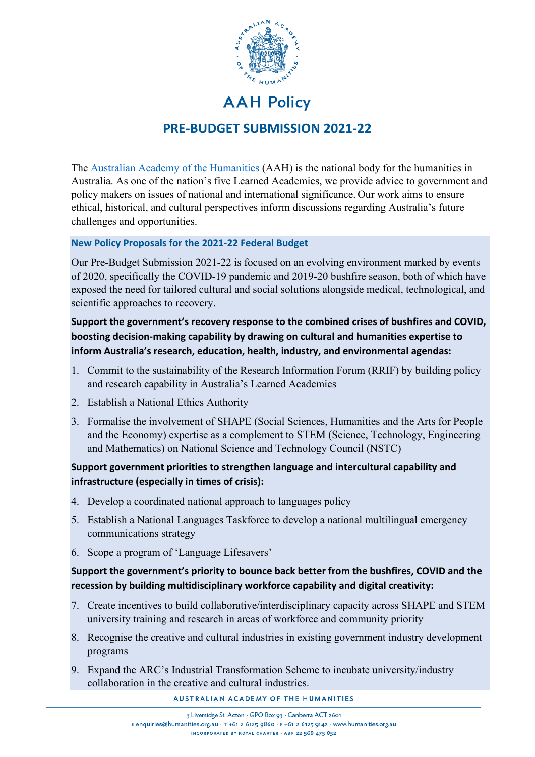

# **AAH Policy PRE-BUDGET SUBMISSION 2021-22**

The [Australian Academy of the Humanities](https://www.humanities.org.au/) (AAH) is the national body for the humanities in Australia. As one of the nation's five Learned Academies, we provide advice to government and policy makers on issues of national and international significance. Our work aims to ensure ethical, historical, and cultural perspectives inform discussions regarding Australia's future challenges and opportunities.

# **New Policy Proposals for the 2021-22 Federal Budget**

Our Pre-Budget Submission 2021-22 is focused on an evolving environment marked by events of 2020, specifically the COVID-19 pandemic and 2019-20 bushfire season, both of which have exposed the need for tailored cultural and social solutions alongside medical, technological, and scientific approaches to recovery.

# **Support the government's recovery response to the combined crises of bushfires and COVID, boosting decision-making capability by drawing on cultural and humanities expertise to inform Australia's research, education, health, industry, and environmental agendas:**

- 1. Commit to the sustainability of the Research Information Forum (RRIF) by building policy and research capability in Australia's Learned Academies
- 2. Establish a National Ethics Authority
- 3. Formalise the involvement of SHAPE (Social Sciences, Humanities and the Arts for People and the Economy) expertise as a complement to STEM (Science, Technology, Engineering and Mathematics) on National Science and Technology Council (NSTC)

# **Support government priorities to strengthen language and intercultural capability and infrastructure (especially in times of crisis):**

- 4. Develop a coordinated national approach to languages policy
- 5. Establish a National Languages Taskforce to develop a national multilingual emergency communications strategy
- 6. Scope a program of 'Language Lifesavers'

# **Support the government's priority to bounce back better from the bushfires, COVID and the recession by building multidisciplinary workforce capability and digital creativity:**

- 7. Create incentives to build collaborative/interdisciplinary capacity across SHAPE and STEM university training and research in areas of workforce and community priority
- 8. Recognise the creative and cultural industries in existing government industry development programs
- 9. Expand the ARC's Industrial Transformation Scheme to incubate university/industry collaboration in the creative and cultural industries.

AUSTRALIAN ACADEMY OF THE HUMANITIES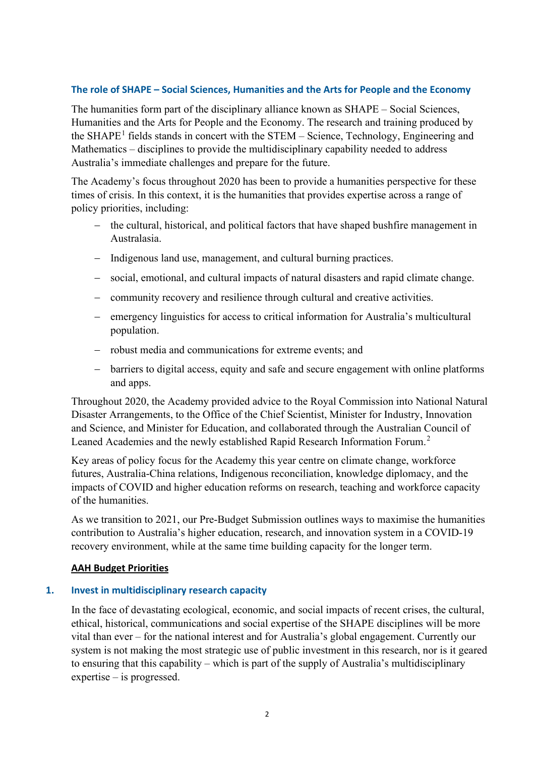## **The role of SHAPE – Social Sciences, Humanities and the Arts for People and the Economy**

The humanities form part of the disciplinary alliance known as SHAPE – Social Sciences, Humanities and the Arts for People and the Economy. The research and training produced by the SHAPE<sup>[1](#page-6-0)</sup> fields stands in concert with the STEM – Science, Technology, Engineering and Mathematics – disciplines to provide the multidisciplinary capability needed to address Australia's immediate challenges and prepare for the future.

The Academy's focus throughout 2020 has been to provide a humanities perspective for these times of crisis. In this context, it is the humanities that provides expertise across a range of policy priorities, including:

- − the cultural, historical, and political factors that have shaped bushfire management in Australasia.
- − Indigenous land use, management, and cultural burning practices.
- − social, emotional, and cultural impacts of natural disasters and rapid climate change.
- − community recovery and resilience through cultural and creative activities.
- − emergency linguistics for access to critical information for Australia's multicultural population.
- − robust media and communications for extreme events; and
- − barriers to digital access, equity and safe and secure engagement with online platforms and apps.

Throughout 2020, the Academy provided advice to the Royal Commission into National Natural Disaster Arrangements, to the Office of the Chief Scientist, Minister for Industry, Innovation and Science, and Minister for Education, and collaborated through the Australian Council of Leaned Academies and the newly established Rapid Research Information Forum.<sup>[2](#page-6-1)</sup>

Key areas of policy focus for the Academy this year centre on climate change, workforce futures, Australia-China relations, Indigenous reconciliation, knowledge diplomacy, and the impacts of COVID and higher education reforms on research, teaching and workforce capacity of the humanities.

As we transition to 2021, our Pre-Budget Submission outlines ways to maximise the humanities contribution to Australia's higher education, research, and innovation system in a COVID-19 recovery environment, while at the same time building capacity for the longer term.

#### **AAH Budget Priorities**

#### **1. Invest in multidisciplinary research capacity**

In the face of devastating ecological, economic, and social impacts of recent crises, the cultural, ethical, historical, communications and social expertise of the SHAPE disciplines will be more vital than ever – for the national interest and for Australia's global engagement. Currently our system is not making the most strategic use of public investment in this research, nor is it geared to ensuring that this capability – which is part of the supply of Australia's multidisciplinary expertise – is progressed.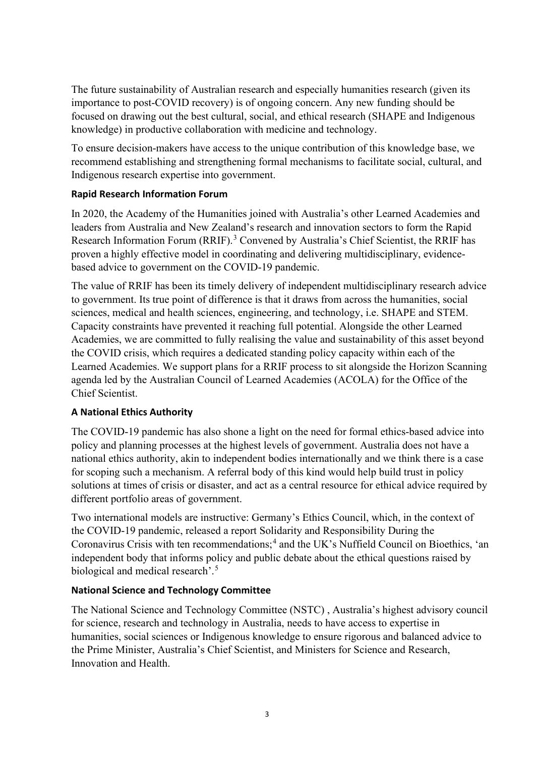The future sustainability of Australian research and especially humanities research (given its importance to post-COVID recovery) is of ongoing concern. Any new funding should be focused on drawing out the best cultural, social, and ethical research (SHAPE and Indigenous knowledge) in productive collaboration with medicine and technology.

To ensure decision-makers have access to the unique contribution of this knowledge base, we recommend establishing and strengthening formal mechanisms to facilitate social, cultural, and Indigenous research expertise into government.

## **Rapid Research Information Forum**

In 2020, the Academy of the Humanities joined with Australia's other Learned Academies and leaders from Australia and New Zealand's research and innovation sectors to form the Rapid Research Information Forum (RRIF).<sup>[3](#page-6-2)</sup> Convened by Australia's Chief Scientist, the RRIF has proven a highly effective model in coordinating and delivering multidisciplinary, evidencebased advice to government on the COVID-19 pandemic.

The value of RRIF has been its timely delivery of independent multidisciplinary research advice to government. Its true point of difference is that it draws from across the humanities, social sciences, medical and health sciences, engineering, and technology, i.e. SHAPE and STEM. Capacity constraints have prevented it reaching full potential. Alongside the other Learned Academies, we are committed to fully realising the value and sustainability of this asset beyond the COVID crisis, which requires a dedicated standing policy capacity within each of the Learned Academies. We support plans for a RRIF process to sit alongside the Horizon Scanning agenda led by the Australian Council of Learned Academies (ACOLA) for the Office of the Chief Scientist.

# **A National Ethics Authority**

The COVID-19 pandemic has also shone a light on the need for formal ethics-based advice into policy and planning processes at the highest levels of government. Australia does not have a national ethics authority, akin to independent bodies internationally and we think there is a case for scoping such a mechanism. A referral body of this kind would help build trust in policy solutions at times of crisis or disaster, and act as a central resource for ethical advice required by different portfolio areas of government.

Two international models are instructive: Germany's Ethics Council, which, in the context of the COVID-19 pandemic, released a report Solidarity and Responsibility During the Coronavirus Crisis with ten recommendations;<sup>[4](#page-6-3)</sup> and the UK's Nuffield Council on Bioethics, 'an independent body that informs policy and public debate about the ethical questions raised by biological and medical research'.<sup>[5](#page-6-4)</sup>

## **National Science and Technology Committee**

The National Science and Technology Committee (NSTC) , Australia's highest advisory council for science, research and technology in Australia, needs to have access to expertise in humanities, social sciences or Indigenous knowledge to ensure rigorous and balanced advice to the Prime Minister, Australia's Chief Scientist, and Ministers for Science and Research, Innovation and Health.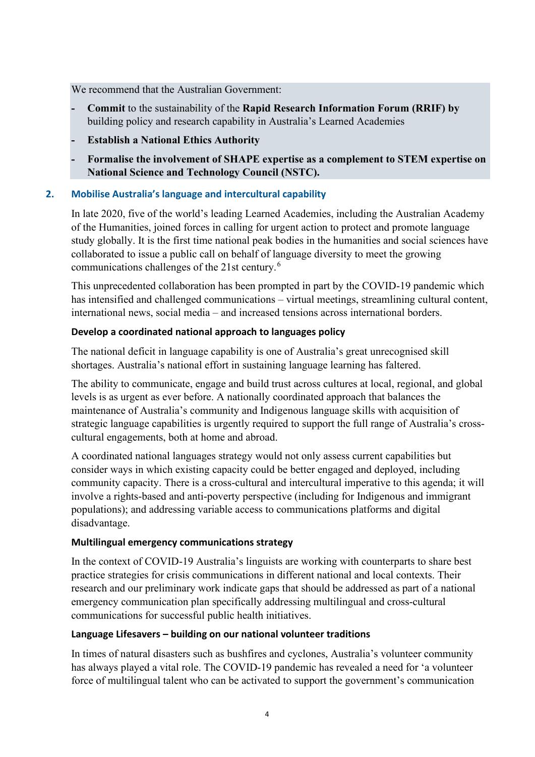We recommend that the Australian Government:

- **- Commit** to the sustainability of the **Rapid Research Information Forum (RRIF) by**  building policy and research capability in Australia's Learned Academies
- **- Establish a National Ethics Authority**
- **- Formalise the involvement of SHAPE expertise as a complement to STEM expertise on National Science and Technology Council (NSTC).**

## **2. Mobilise Australia's language and intercultural capability**

In late 2020, five of the world's leading Learned Academies, including the Australian Academy of the Humanities, joined forces in calling for urgent action to protect and promote language study globally. It is the first time national peak bodies in the humanities and social sciences have collaborated to issue a public call on behalf of language diversity to meet the growing communications challenges of the 21st century.[6](#page-6-5)

This unprecedented collaboration has been prompted in part by the COVID-19 pandemic which has intensified and challenged communications – virtual meetings, streamlining cultural content, international news, social media – and increased tensions across international borders.

## **Develop a coordinated national approach to languages policy**

The national deficit in language capability is one of Australia's great unrecognised skill shortages. Australia's national effort in sustaining language learning has faltered.

The ability to communicate, engage and build trust across cultures at local, regional, and global levels is as urgent as ever before. A nationally coordinated approach that balances the maintenance of Australia's community and Indigenous language skills with acquisition of strategic language capabilities is urgently required to support the full range of Australia's crosscultural engagements, both at home and abroad.

A coordinated national languages strategy would not only assess current capabilities but consider ways in which existing capacity could be better engaged and deployed, including community capacity. There is a cross-cultural and intercultural imperative to this agenda; it will involve a rights-based and anti-poverty perspective (including for Indigenous and immigrant populations); and addressing variable access to communications platforms and digital disadvantage.

#### **Multilingual emergency communications strategy**

In the context of COVID-19 Australia's linguists are working with counterparts to share best practice strategies for crisis communications in different national and local contexts. Their research and our preliminary work indicate gaps that should be addressed as part of a national emergency communication plan specifically addressing multilingual and cross-cultural communications for successful public health initiatives.

#### **Language Lifesavers – building on our national volunteer traditions**

In times of natural disasters such as bushfires and cyclones, Australia's volunteer community has always played a vital role. The COVID-19 pandemic has revealed a need for 'a volunteer force of multilingual talent who can be activated to support the government's communication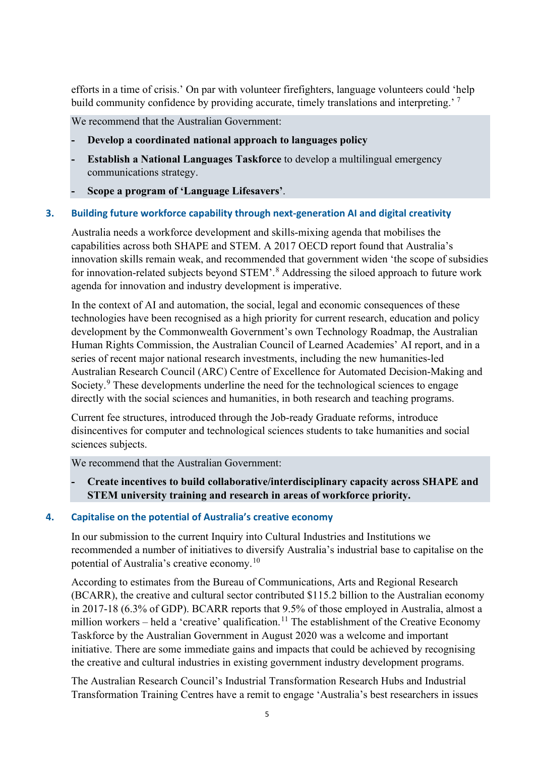efforts in a time of crisis.' On par with volunteer firefighters, language volunteers could 'help build community confidence by providing accurate, timely translations and interpreting.'<sup>[7](#page-6-6)</sup>

We recommend that the Australian Government:

- **- Develop a coordinated national approach to languages policy**
- **- Establish a National Languages Taskforce** to develop a multilingual emergency communications strategy.
- **- Scope a program of 'Language Lifesavers'**.

## **3. Building future workforce capability through next-generation AI and digital creativity**

Australia needs a workforce development and skills-mixing agenda that mobilises the capabilities across both SHAPE and STEM. A 2017 OECD report found that Australia's innovation skills remain weak, and recommended that government widen 'the scope of subsidies for innovation-related subjects beyond STEM'.<sup>[8](#page-6-7)</sup> Addressing the siloed approach to future work agenda for innovation and industry development is imperative.

In the context of AI and automation, the social, legal and economic consequences of these technologies have been recognised as a high priority for current research, education and policy development by the Commonwealth Government's own Technology Roadmap, the Australian Human Rights Commission, the Australian Council of Learned Academies' AI report, and in a series of recent major national research investments, including the new humanities-led Australian Research Council (ARC) Centre of Excellence for Automated Decision-Making and Society.<sup>[9](#page-6-8)</sup> These developments underline the need for the technological sciences to engage directly with the social sciences and humanities, in both research and teaching programs.

Current fee structures, introduced through the Job-ready Graduate reforms, introduce disincentives for computer and technological sciences students to take humanities and social sciences subjects.

We recommend that the Australian Government:

**- Create incentives to build collaborative/interdisciplinary capacity across SHAPE and STEM university training and research in areas of workforce priority.** 

## **4. Capitalise on the potential of Australia's creative economy**

In our submission to the current Inquiry into Cultural Industries and Institutions we recommended a number of initiatives to diversify Australia's industrial base to capitalise on the potential of Australia's creative economy.<sup>[10](#page-6-9)</sup>

According to estimates from the Bureau of Communications, Arts and Regional Research (BCARR), the creative and cultural sector contributed \$115.2 billion to the Australian economy in 2017-18 (6.3% of GDP). BCARR reports that 9.5% of those employed in Australia, almost a million workers – held a 'creative' qualification.<sup>[11](#page-6-10)</sup> The establishment of the Creative Economy Taskforce by the Australian Government in August 2020 was a welcome and important initiative. There are some immediate gains and impacts that could be achieved by recognising the creative and cultural industries in existing government industry development programs.

The Australian Research Council's Industrial Transformation Research Hubs and Industrial Transformation Training Centres have a remit to engage 'Australia's best researchers in issues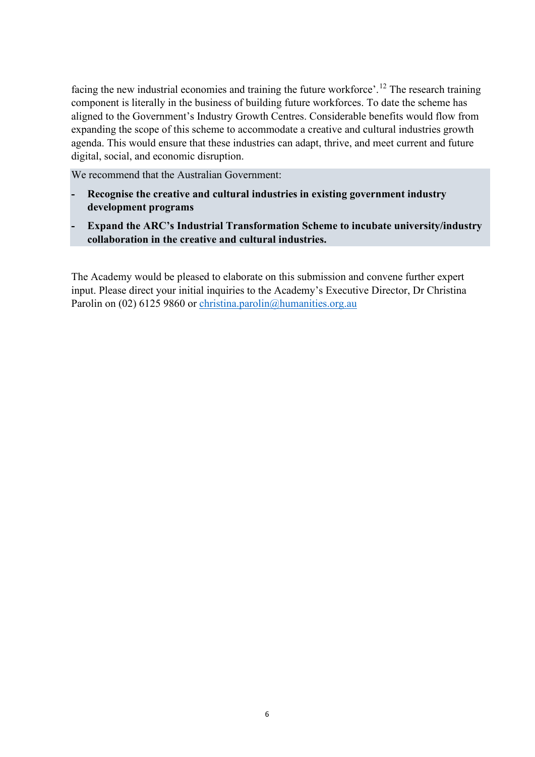facing the new industrial economies and training the future workforce'.<sup>[12](#page-6-11)</sup> The research training component is literally in the business of building future workforces. To date the scheme has aligned to the Government's Industry Growth Centres. Considerable benefits would flow from expanding the scope of this scheme to accommodate a creative and cultural industries growth agenda. This would ensure that these industries can adapt, thrive, and meet current and future digital, social, and economic disruption.

We recommend that the Australian Government:

- **- Recognise the creative and cultural industries in existing government industry development programs**
- **- Expand the ARC's Industrial Transformation Scheme to incubate university/industry collaboration in the creative and cultural industries.**

The Academy would be pleased to elaborate on this submission and convene further expert input. Please direct your initial inquiries to the Academy's Executive Director, Dr Christina Parolin on (02) 6125 9860 or christina.parolin@humanities.org.au